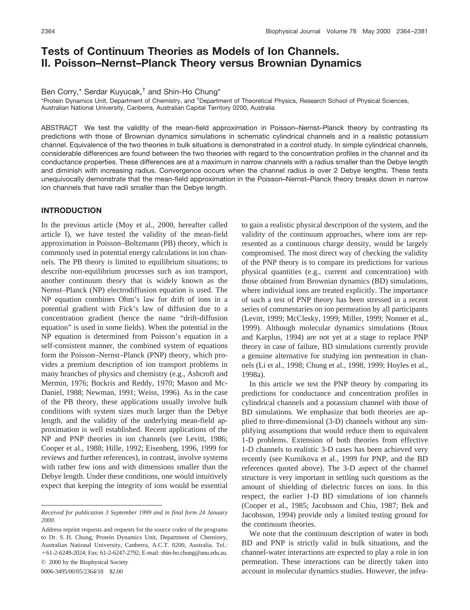# **Tests of Continuum Theories as Models of Ion Channels. II. Poisson–Nernst–Planck Theory versus Brownian Dynamics**

# Ben Corry,\* Serdar Kuyucak,† and Shin-Ho Chung\*

\*Protein Dynamics Unit, Department of Chemistry, and † Department of Theoretical Physics, Research School of Physical Sciences, Australian National University, Canberra, Australian Capital Territory 0200, Australia

ABSTRACT We test the validity of the mean-field approximation in Poisson–Nernst–Planck theory by contrasting its predictions with those of Brownian dynamics simulations in schematic cylindrical channels and in a realistic potassium channel. Equivalence of the two theories in bulk situations is demonstrated in a control study. In simple cylindrical channels, considerable differences are found between the two theories with regard to the concentration profiles in the channel and its conductance properties. These differences are at a maximum in narrow channels with a radius smaller than the Debye length and diminish with increasing radius. Convergence occurs when the channel radius is over 2 Debye lengths. These tests unequivocally demonstrate that the mean-field approximation in the Poisson–Nernst–Planck theory breaks down in narrow ion channels that have radii smaller than the Debye length.

# **INTRODUCTION**

In the previous article (Moy et al., 2000, hereafter called article I), we have tested the validity of the mean-field approximation in Poisson–Boltzmann (PB) theory, which is commonly used in potential energy calculations in ion channels. The PB theory is limited to equilibrium situations; to describe non-equilibrium processes such as ion transport, another continuum theory that is widely known as the Nernst–Planck (NP) electrodiffusion equation is used. The NP equation combines Ohm's law for drift of ions in a potential gradient with Fick's law of diffusion due to a concentration gradient (hence the name "drift-diffusion equation" is used in some fields). When the potential in the NP equation is determined from Poisson's equation in a self-consistent manner, the combined system of equations form the Poisson–Nernst–Planck (PNP) theory, which provides a premium description of ion transport problems in many branches of physics and chemistry (e.g., Ashcroft and Mermin, 1976; Bockris and Reddy, 1970; Mason and Mc-Daniel, 1988; Newman, 1991; Weiss, 1996). As in the case of the PB theory, these applications usually involve bulk conditions with system sizes much larger than the Debye length, and the validity of the underlying mean-field approximation is well established. Recent applications of the NP and PNP theories in ion channels (see Levitt, 1986; Cooper et al., 1988; Hille, 1992; Eisenberg, 1996, 1999 for reviews and further references), in contrast, involve systems with rather few ions and with dimensions smaller than the Debye length. Under these conditions, one would intuitively expect that keeping the integrity of ions would be essential

© 2000 by the Biophysical Society

0006-3495/00/05/2364/18 \$2.00

to gain a realistic physical description of the system, and the validity of the continuum approaches, where ions are represented as a continuous charge density, would be largely compromised. The most direct way of checking the validity of the PNP theory is to compare its predictions for various physical quantities (e.g., current and concentration) with those obtained from Brownian dynamics (BD) simulations, where individual ions are treated explicitly. The importance of such a test of PNP theory has been stressed in a recent series of commentaries on ion permeation by all participants (Levitt, 1999; McClesky, 1999; Miller, 1999; Nonner et al., 1999). Although molecular dynamics simulations (Roux and Karplus, 1994) are not yet at a stage to replace PNP theory in case of failure, BD simulations currently provide a genuine alternative for studying ion permeation in channels (Li et al., 1998; Chung et al., 1998, 1999; Hoyles et al., 1998a).

In this article we test the PNP theory by comparing its predictions for conductance and concentration profiles in cylindrical channels and a potassium channel with those of BD simulations. We emphasize that both theories are applied to three-dimensional (3-D) channels without any simplifying assumptions that would reduce them to equivalent 1-D problems. Extension of both theories from effective 1-D channels to realistic 3-D cases has been achieved very recently (see Kurnikova et al., 1999 for PNP, and the BD references quoted above). The 3-D aspect of the channel structure is very important in settling such questions as the amount of shielding of dielectric forces on ions. In this respect, the earlier 1-D BD simulations of ion channels (Cooper et al., 1985; Jacobsson and Chiu, 1987; Bek and Jacobsson, 1994) provide only a limited testing ground for the continuum theories.

We note that the continuum description of water in both BD and PNP is strictly valid in bulk situations, and the channel-water interactions are expected to play a role in ion permeation. These interactions can be directly taken into account in molecular dynamics studies. However, the infea-

*Received for publication 3 September 1999 and in final form 24 January 2000.*

Address reprint requests and requests for the source codes of the programs to Dr. S. H. Chung, Protein Dynamics Unit, Department of Chemistry, Australian National University, Canberra, A.C.T. 0200, Australia. Tel.: 161-2-6249-2024; Fax: 61-2-6247-2792; E-mail: shin-ho.chung@anu.edu.au.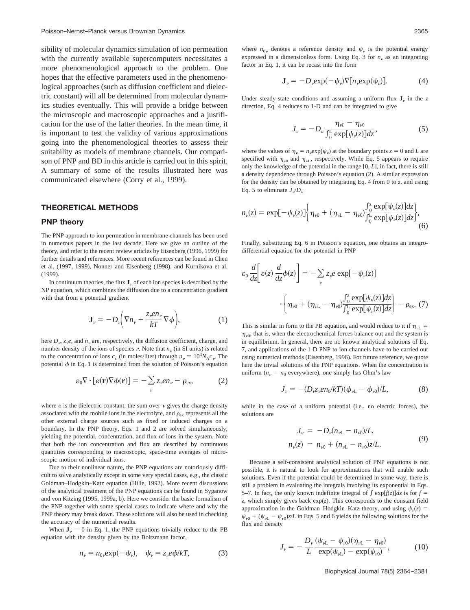sibility of molecular dynamics simulation of ion permeation with the currently available supercomputers necessitates a more phenomenological approach to the problem. One hopes that the effective parameters used in the phenomenological approaches (such as diffusion coefficient and dielectric constant) will all be determined from molecular dynamics studies eventually. This will provide a bridge between the microscopic and macroscopic approaches and a justification for the use of the latter theories. In the mean time, it is important to test the validity of various approximations going into the phenomenological theories to assess their suitability as models of membrane channels. Our comparison of PNP and BD in this article is carried out in this spirit. A summary of some of the results illustrated here was communicated elsewhere (Corry et al., 1999).

# **THEORETICAL METHODS**

#### **PNP theory**

The PNP approach to ion permeation in membrane channels has been used in numerous papers in the last decade. Here we give an outline of the theory, and refer to the recent review articles by Eisenberg (1996, 1999) for further details and references. More recent references can be found in Chen et al. (1997, 1999), Nonner and Eisenberg (1998), and Kurnikova et al. (1999).

In continuum theories, the flux  $\mathbf{J}_v$  of each ion species is described by the NP equation, which combines the diffusion due to a concentration gradient with that from a potential gradient

$$
\mathbf{J}_{\nu} = -D_{\nu} \bigg( \nabla n_{\nu} + \frac{z_{\nu} e n_{\nu}}{kT} \nabla \phi \bigg), \tag{1}
$$

here  $D_{\nu}$ ,  $z_{\nu}e$ , and  $n_{\nu}$  are, respectively, the diffusion coefficient, charge, and number density of the ions of species  $\nu$ . Note that  $n_{\nu}$  (in SI units) is related to the concentration of ions  $c<sub>v</sub>$  (in moles/liter) through  $n<sub>v</sub> = 10<sup>3</sup>N<sub>A</sub>c<sub>v</sub>$ . The potential  $\phi$  in Eq. 1 is determined from the solution of Poisson's equation

$$
\varepsilon_0 \nabla \cdot [\varepsilon(\mathbf{r}) \nabla \phi(\mathbf{r})] = -\sum_{\nu} z_{\nu} e n_{\nu} - \rho_{\text{ex}}, \tag{2}
$$

where  $\varepsilon$  is the dielectric constant, the sum over  $\nu$  gives the charge density associated with the mobile ions in the electrolyte, and  $\rho_{ex}$  represents all the other external charge sources such as fixed or induced charges on a boundary. In the PNP theory, Eqs. 1 and 2 are solved simultaneously, yielding the potential, concentration, and flux of ions in the system. Note that both the ion concentration and flux are described by continuous quantities corresponding to macroscopic, space-time averages of microscopic motion of individual ions.

Due to their nonlinear nature, the PNP equations are notoriously difficult to solve analytically except in some very special cases, e.g., the classic Goldman–Hodgkin–Katz equation (Hille, 1992). More recent discussions of the analytical treatment of the PNP equations can be found in Syganow and von Kitzing (1995, 1999a, b). Here we consider the basic formalism of the PNP together with some special cases to indicate where and why the PNP theory may break down. These solutions will also be used in checking the accuracy of the numerical results.

When  $J_{\nu} = 0$  in Eq. 1, the PNP equations trivially reduce to the PB equation with the density given by the Boltzmann factor,

$$
n_{\nu} = n_{0\nu} \exp(-\psi_{\nu}), \quad \psi_{\nu} = z_{\nu} e \phi / kT, \tag{3}
$$

where  $n_{0\nu}$  denotes a reference density and  $\psi_{\nu}$  is the potential energy expressed in a dimensionless form. Using Eq. 3 for  $n<sub>v</sub>$  as an integrating factor in Eq. 1, it can be recast into the form

$$
\mathbf{J}_{\nu} = -D_{\nu} \exp(-\psi_{\nu}) \nabla [n_{\nu} \exp(\psi_{\nu})]. \tag{4}
$$

Under steady-state conditions and assuming a uniform flux  $J_{\nu}$  in the *z* direction, Eq. 4 reduces to 1-D and can be integrated to give

$$
J_{\nu} = -D_{\nu} \frac{\eta_{\nu L} - \eta_{\nu 0}}{\int_0^L \exp[\psi_{\nu}(z)]dz},\tag{5}
$$

where the values of  $\eta_v = n_v \exp(\psi_v)$  at the boundary points  $z = 0$  and *L* are specified with  $\eta_{\nu 0}$  and  $\eta_{\nu L}$ , respectively. While Eq. 5 appears to require only the knowledge of the potential in the range [0, *L*], in fact, there is still a density dependence through Poisson's equation (2). A similar expression for the density can be obtained by integrating Eq. 4 from 0 to *z*, and using Eq. 5 to eliminate  $J_v/D_v$ 

$$
n_{\nu}(z) = \exp[-\psi_{\nu}(z)] \bigg\{ \eta_{\nu 0} + (\eta_{\nu L} - \eta_{\nu 0}) \frac{\int_{0}^{z} \exp[\psi_{\nu}(z)] dz}{\int_{0}^{L} \exp[\psi_{\nu}(z)] dz} \bigg\},\tag{6}
$$

Finally, substituting Eq. 6 in Poisson's equation, one obtains an integrodifferential equation for the potential in PNP

$$
\varepsilon_0 \frac{d}{dz} \bigg[ \varepsilon(z) \frac{d}{dz} \phi(z) \bigg] = - \sum_{\nu} z_{\nu} e \exp[-\psi_{\nu}(z)]
$$

$$
\cdot \bigg\{ \eta_{\nu 0} + (\eta_{\nu L} - \eta_{\nu 0}) \frac{\int_0^z \exp[\psi_{\nu}(z)] dz}{\int_0^L \exp[\psi_{\nu}(z)] dz} \bigg\} - \rho_{\text{ex}}. (7)
$$

This is similar in form to the PB equation, and would reduce to it if  $\eta_{\nu L}$  =  $\eta_{\nu0}$ , that is, when the electrochemical forces balance out and the system is in equilibrium. In general, there are no known analytical solutions of Eq. 7, and applications of the 1-D PNP to ion channels have to be carried out using numerical methods (Eisenberg, 1996). For future reference, we quote here the trivial solutions of the PNP equations. When the concentration is uniform  $(n_v = n_0$  everywhere), one simply has Ohm's law

$$
J_{\nu} = -(D_{\nu}z_{\nu}e_{\nu}/kT)(\phi_{\nu L} - \phi_{\nu 0})/L, \tag{8}
$$

while in the case of a uniform potential (i.e., no electric forces), the solutions are

$$
J_{\nu} = -D_{\nu}(n_{\nu L} - n_{\nu 0})/L,
$$
  
\n
$$
n_{\nu}(z) = n_{\nu 0} + (n_{\nu L} - n_{\nu 0})z/L.
$$
\n(9)

Because a self-consistent analytical solution of PNP equations is not possible, it is natural to look for approximations that will enable such solutions. Even if the potential could be determined in some way, there is still a problem in evaluating the integrals involving its exponential in Eqs. 5–7. In fact, the only known indefinite integral of  $\int \exp[f(z)]dz$  is for  $f =$ *z*, which simply gives back exp(*z*). This corresponds to the constant field approximation in the Goldman–Hodgkin–Katz theory, and using  $\psi_{\nu}(z)$  =  $\psi_{\nu0} + (\psi_{\nu L} - \psi_{\nu0})z/L$  in Eqs. 5 and 6 yields the following solutions for the flux and density

$$
J_{\nu} = -\frac{D_{\nu} (\psi_{\nu L} - \psi_{\nu 0}) (\eta_{\nu L} - \eta_{\nu 0})}{L \exp(\psi_{\nu L}) - \exp(\psi_{\nu 0})}, \qquad (10)
$$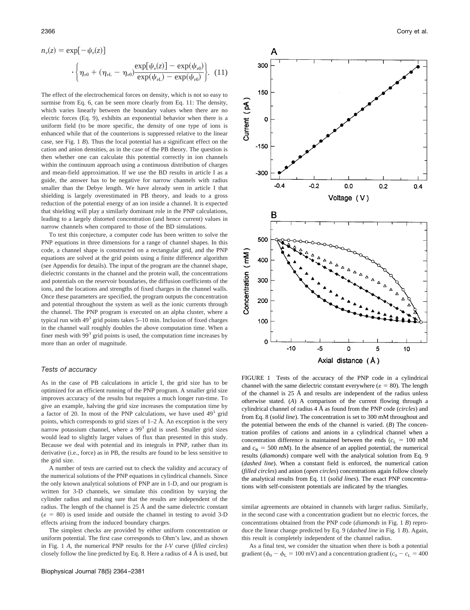$$
n_{\nu}(z) = \exp[-\psi_{\nu}(z)]
$$

$$
\cdot \left\{\eta_{\nu 0} + (\eta_{\nu L} - \eta_{\nu 0}) \frac{\exp[\psi_{\nu}(z)] - \exp(\psi_{\nu 0})}{\exp(\psi_{\nu L}) - \exp(\psi_{\nu 0})}\right\}.
$$
 (11)

The effect of the electrochemical forces on density, which is not so easy to surmise from Eq. 6, can be seen more clearly from Eq. 11: The density, which varies linearly between the boundary values when there are no electric forces (Eq. 9), exhibits an exponential behavior when there is a uniform field (to be more specific, the density of one type of ions is enhanced while that of the counterions is suppressed relative to the linear case, see Fig. 1 *B*). Thus the local potential has a significant effect on the cation and anion densities, as in the case of the PB theory. The question is then whether one can calculate this potential correctly in ion channels within the continuum approach using a continuous distribution of charges and mean-field approximation. If we use the BD results in article I as a guide, the answer has to be negative for narrow channels with radius smaller than the Debye length. We have already seen in article I that shielding is largely overestimated in PB theory, and leads to a gross reduction of the potential energy of an ion inside a channel. It is expected that shielding will play a similarly dominant role in the PNP calculations, leading to a largely distorted concentration (and hence current) values in narrow channels when compared to those of the BD simulations.

To test this conjecture, a computer code has been written to solve the PNP equations in three dimensions for a range of channel shapes. In this code, a channel shape is constructed on a rectangular grid, and the PNP equations are solved at the grid points using a finite difference algorithm (see Appendix for details). The input of the program are the channel shape, dielectric constants in the channel and the protein wall, the concentrations and potentials on the reservoir boundaries, the diffusion coefficients of the ions, and the locations and strengths of fixed charges in the channel walls. Once these parameters are specified, the program outputs the concentration and potential throughout the system as well as the ionic currents through the channel. The PNP program is executed on an alpha cluster, where a typical run with  $49<sup>3</sup>$  grid points takes  $5-10$  min. Inclusion of fixed charges in the channel wall roughly doubles the above computation time. When a finer mesh with  $99<sup>3</sup>$  grid points is used, the computation time increases by more than an order of magnitude.

#### *Tests of accuracy*

As in the case of PB calculations in article I, the grid size has to be optimized for an efficient running of the PNP program. A smaller grid size improves accuracy of the results but requires a much longer run-time. To give an example, halving the grid size increases the computation time by a factor of 20. In most of the PNP calculations, we have used  $49<sup>3</sup>$  grid points, which corresponds to grid sizes of  $1-2$  Å. An exception is the very narrow potassium channel, where a  $99<sup>3</sup>$  grid is used. Smaller grid sizes would lead to slightly larger values of flux than presented in this study. Because we deal with potential and its integrals in PNP, rather than its derivative (i.e., force) as in PB, the results are found to be less sensitive to the grid size.

A number of tests are carried out to check the validity and accuracy of the numerical solutions of the PNP equations in cylindrical channels. Since the only known analytical solutions of PNP are in 1-D, and our program is written for 3-D channels, we simulate this condition by varying the cylinder radius and making sure that the results are independent of the radius. The length of the channel is 25 Å and the same dielectric constant  $(\epsilon = 80)$  is used inside and outside the channel in testing to avoid 3-D effects arising from the induced boundary charges.

The simplest checks are provided by either uniform concentration or uniform potential. The first case corresponds to Ohm's law, and as shown in Fig. 1 *A*, the numerical PNP results for the *I*-*V* curve (*filled circles*) closely follow the line predicted by Eq. 8. Here a radius of 4 Å is used, but



FIGURE 1 Tests of the accuracy of the PNP code in a cylindrical channel with the same dielectric constant everywhere ( $\varepsilon = 80$ ). The length of the channel is 25 Å and results are independent of the radius unless otherwise stated. (*A*) A comparison of the current flowing through a cylindrical channel of radius 4 Å as found from the PNP code (*circles*) and from Eq. 8 (*solid line*). The concentration is set to 300 mM throughout and the potential between the ends of the channel is varied. (*B*) The concentration profiles of cations and anions in a cylindrical channel when a concentration difference is maintained between the ends ( $c<sub>L</sub> = 100$  mM and  $c<sub>B</sub> = 500$  mM). In the absence of an applied potential, the numerical results (*diamonds*) compare well with the analytical solution from Eq. 9 (*dashed line*). When a constant field is enforced, the numerical cation (*filled circles*) and anion (*open circles*) concentrations again follow closely the analytical results from Eq. 11 (*solid lines*). The exact PNP concentrations with self-consistent potentials are indicated by the triangles.

similar agreements are obtained in channels with larger radius. Similarly, in the second case with a concentration gradient but no electric forces, the concentrations obtained from the PNP code (*diamonds* in Fig. 1 *B*) reproduce the linear change predicted by Eq. 9 (*dashed line* in Fig. 1 *B*). Again, this result is completely independent of the channel radius.

As a final test, we consider the situation when there is both a potential gradient ( $\phi_0 - \phi_L = 100 \text{ mV}$ ) and a concentration gradient ( $c_0 - c_L = 400$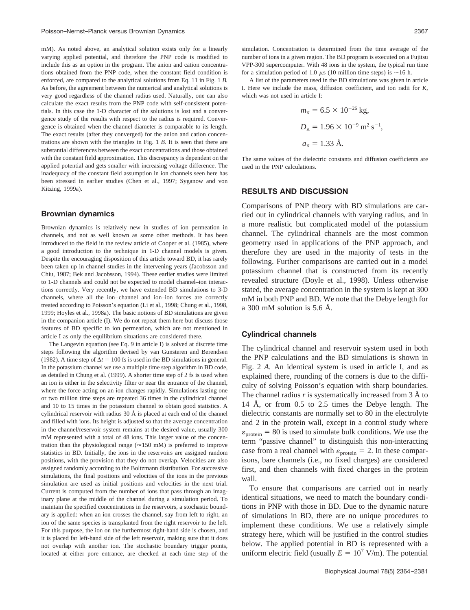mM). As noted above, an analytical solution exists only for a linearly varying applied potential, and therefore the PNP code is modified to include this as an option in the program. The anion and cation concentrations obtained from the PNP code, when the constant field condition is enforced, are compared to the analytical solutions from Eq. 11 in Fig. 1 *B.* As before, the agreement between the numerical and analytical solutions is very good regardless of the channel radius used. Naturally, one can also calculate the exact results from the PNP code with self-consistent potentials. In this case the 1-D character of the solutions is lost and a convergence study of the results with respect to the radius is required. Convergence is obtained when the channel diameter is comparable to its length. The exact results (after they converged) for the anion and cation concentrations are shown with the triangles in Fig. 1 *B.* It is seen that there are substantial differences between the exact concentrations and those obtained with the constant field approximation. This discrepancy is dependent on the applied potential and gets smaller with increasing voltage difference. The inadequacy of the constant field assumption in ion channels seen here has been stressed in earlier studies (Chen et al., 1997; Syganow and von Kitzing, 1999a).

#### **Brownian dynamics**

Brownian dynamics is relatively new in studies of ion permeation in channels, and not as well known as some other methods. It has been introduced to the field in the review article of Cooper et al. (1985), where a good introduction to the technique in 1-D channel models is given. Despite the encouraging disposition of this article toward BD, it has rarely been taken up in channel studies in the intervening years (Jacobsson and Chiu, 1987; Bek and Jacobsson, 1994). These earlier studies were limited to 1-D channels and could not be expected to model channel–ion interactions correctly. Very recently, we have extended BD simulations to 3-D channels, where all the ion–channel and ion–ion forces are correctly treated according to Poisson's equation (Li et al., 1998; Chung et al., 1998, 1999; Hoyles et al., 1998a). The basic notions of BD simulations are given in the companion article (I). We do not repeat them here but discuss those features of BD specific to ion permeation, which are not mentioned in article I as only the equilibrium situations are considered there.

The Langevin equation (see Eq. 9 in article I) is solved at discrete time steps following the algorithm devised by van Gunsteren and Berendsen (1982). A time step of  $\Delta t = 100$  fs is used in the BD simulations in general. In the potassium channel we use a multiple time step algorithm in BD code, as detailed in Chung et al. (1999). A shorter time step of 2 fs is used when an ion is either in the selectivity filter or near the entrance of the channel, where the force acting on an ion changes rapidly. Simulations lasting one or two million time steps are repeated 36 times in the cylindrical channel and 10 to 15 times in the potassium channel to obtain good statistics. A cylindrical reservoir with radius  $30 \text{ Å}$  is placed at each end of the channel and filled with ions. Its height is adjusted so that the average concentration in the channel/reservoir system remains at the desired value, usually 300 mM represented with a total of 48 ions. This larger value of the concentration than the physiological range ( $\approx$ 150 mM) is preferred to improve statistics in BD. Initially, the ions in the reservoirs are assigned random positions, with the provision that they do not overlap. Velocities are also assigned randomly according to the Boltzmann distribution. For successive simulations, the final positions and velocities of the ions in the previous simulation are used as initial positions and velocities in the next trial. Current is computed from the number of ions that pass through an imaginary plane at the middle of the channel during a simulation period. To maintain the specified concentrations in the reservoirs, a stochastic boundary is applied: when an ion crosses the channel, say from left to right, an ion of the same species is transplanted from the right reservoir to the left. For this purpose, the ion on the furthermost right-hand side is chosen, and it is placed far left-hand side of the left reservoir, making sure that it does not overlap with another ion. The stochastic boundary trigger points, located at either pore entrance, are checked at each time step of the

simulation. Concentration is determined from the time average of the number of ions in a given region. The BD program is executed on a Fujitsu VPP-300 supercomputer. With 48 ions in the system, the typical run time for a simulation period of 1.0  $\mu$ s (10 million time steps) is ~16 h.

A list of the parameters used in the BD simulations was given in article I. Here we include the mass, diffusion coefficient, and ion radii for *K*, which was not used in article I:

$$
m_{\rm K} = 6.5 \times 10^{-26} \,\text{kg},
$$
  

$$
D_{\rm K} = 1.96 \times 10^{-9} \,\text{m}^2 \,\text{s}^{-1},
$$
  

$$
a_{\rm K} = 1.33 \,\text{\AA}.
$$

The same values of the dielectric constants and diffusion coefficients are used in the PNP calculations.

# **RESULTS AND DISCUSSION**

Comparisons of PNP theory with BD simulations are carried out in cylindrical channels with varying radius, and in a more realistic but complicated model of the potassium channel. The cylindrical channels are the most common geometry used in applications of the PNP approach, and therefore they are used in the majority of tests in the following. Further comparisons are carried out in a model potassium channel that is constructed from its recently revealed structure (Doyle et al., 1998). Unless otherwise stated, the average concentration in the system is kept at 300 mM in both PNP and BD. We note that the Debye length for a 300 mM solution is 5.6 Å.

### **Cylindrical channels**

The cylindrical channel and reservoir system used in both the PNP calculations and the BD simulations is shown in Fig. 2 *A.* An identical system is used in article I, and as explained there, rounding of the corners is due to the difficulty of solving Poisson's equation with sharp boundaries. The channel radius *r* is systematically increased from 3 Å to 14 Å, or from 0.5 to 2.5 times the Debye length. The dielectric constants are normally set to 80 in the electrolyte and 2 in the protein wall, except in a control study where  $\varepsilon_{\text{protein}}$  = 80 is used to simulate bulk conditions. We use the term "passive channel" to distinguish this non-interacting case from a real channel with  $\varepsilon_{\text{protein}} = 2$ . In these comparisons, bare channels (i.e., no fixed charges) are considered first, and then channels with fixed charges in the protein wall.

To ensure that comparisons are carried out in nearly identical situations, we need to match the boundary conditions in PNP with those in BD. Due to the dynamic nature of simulations in BD, there are no unique procedures to implement these conditions. We use a relatively simple strategy here, which will be justified in the control studies below. The applied potential in BD is represented with a uniform electric field (usually  $E = 10^7$  V/m). The potential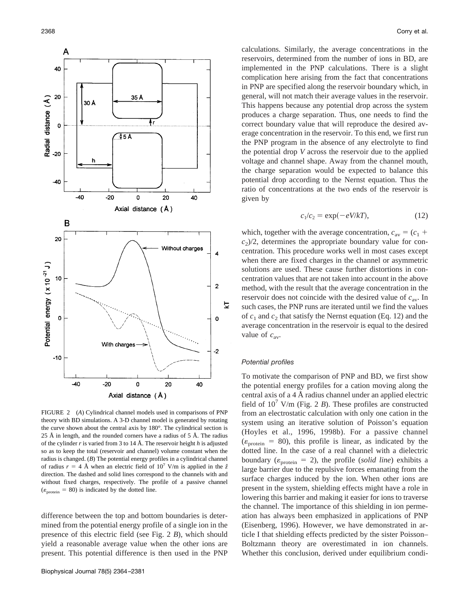

FIGURE 2 (*A*) Cylindrical channel models used in comparisons of PNP theory with BD simulations. A 3-D channel model is generated by rotating the curve shown about the central axis by 180°. The cylindrical section is 25 Å in length, and the rounded corners have a radius of 5 Å. The radius of the cylinder *r* is varied from 3 to 14 Å. The reservoir height *h* is adjusted so as to keep the total (reservoir and channel) volume constant when the radius is changed. (*B*) The potential energy profiles in a cylindrical channel of radius  $r = 4$  Å when an electric field of 10<sup>7</sup> V/m is applied in the  $\hat{z}$ direction. The dashed and solid lines correspond to the channels with and without fixed charges, respectively. The profile of a passive channel  $(\varepsilon_{\text{protein}} = 80)$  is indicated by the dotted line.

difference between the top and bottom boundaries is determined from the potential energy profile of a single ion in the presence of this electric field (see Fig. 2 *B*), which should yield a reasonable average value when the other ions are present. This potential difference is then used in the PNP

calculations. Similarly, the average concentrations in the reservoirs, determined from the number of ions in BD, are implemented in the PNP calculations. There is a slight complication here arising from the fact that concentrations in PNP are specified along the reservoir boundary which, in general, will not match their average values in the reservoir. This happens because any potential drop across the system produces a charge separation. Thus, one needs to find the correct boundary value that will reproduce the desired average concentration in the reservoir. To this end, we first run the PNP program in the absence of any electrolyte to find the potential drop *V* across the reservoir due to the applied voltage and channel shape. Away from the channel mouth, the charge separation would be expected to balance this potential drop according to the Nernst equation. Thus the ratio of concentrations at the two ends of the reservoir is given by

$$
c_1/c_2 = \exp(-eV/kT), \tag{12}
$$

which, together with the average concentration,  $c_{av} = (c_1 + c_2)$  $c_2/2$ , determines the appropriate boundary value for concentration. This procedure works well in most cases except when there are fixed charges in the channel or asymmetric solutions are used. These cause further distortions in concentration values that are not taken into account in the above method, with the result that the average concentration in the reservoir does not coincide with the desired value of *c*av. In such cases, the PNP runs are iterated until we find the values of  $c_1$  and  $c_2$  that satisfy the Nernst equation (Eq. 12) and the average concentration in the reservoir is equal to the desired value of  $c_{av}$ .

#### *Potential profiles*

To motivate the comparison of PNP and BD, we first show the potential energy profiles for a cation moving along the central axis of  $a \ddot{A}$  adius channel under an applied electric field of  $10^7$  V/m (Fig. 2 *B*). These profiles are constructed from an electrostatic calculation with only one cation in the system using an iterative solution of Poisson's equation (Hoyles et al., 1996, 1998b). For a passive channel  $(\varepsilon_{\text{protein}} = 80)$ , this profile is linear, as indicated by the dotted line. In the case of a real channel with a dielectric boundary ( $\varepsilon_{\text{protein}} = 2$ ), the profile (*solid line*) exhibits a large barrier due to the repulsive forces emanating from the surface charges induced by the ion. When other ions are present in the system, shielding effects might have a role in lowering this barrier and making it easier for ions to traverse the channel. The importance of this shielding in ion permeation has always been emphasized in applications of PNP (Eisenberg, 1996). However, we have demonstrated in article I that shielding effects predicted by the sister Poisson– Boltzmann theory are overestimated in ion channels. Whether this conclusion, derived under equilibrium condi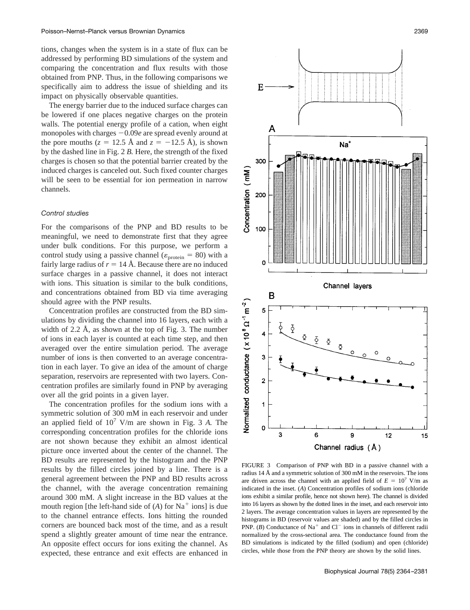tions, changes when the system is in a state of flux can be addressed by performing BD simulations of the system and comparing the concentration and flux results with those obtained from PNP. Thus, in the following comparisons we specifically aim to address the issue of shielding and its impact on physically observable quantities.

The energy barrier due to the induced surface charges can be lowered if one places negative charges on the protein walls. The potential energy profile of a cation, when eight monopoles with charges  $-0.09e$  are spread evenly around at the pore mouths ( $z = 12.5$  Å and  $z = -12.5$  Å), is shown by the dashed line in Fig. 2 *B.* Here, the strength of the fixed charges is chosen so that the potential barrier created by the induced charges is canceled out. Such fixed counter charges will be seen to be essential for ion permeation in narrow channels.

#### *Control studies*

For the comparisons of the PNP and BD results to be meaningful, we need to demonstrate first that they agree under bulk conditions. For this purpose, we perform a control study using a passive channel ( $\varepsilon$ <sub>protein</sub> = 80) with a fairly large radius of  $r = 14$  Å. Because there are no induced surface charges in a passive channel, it does not interact with ions. This situation is similar to the bulk conditions, and concentrations obtained from BD via time averaging should agree with the PNP results.

Concentration profiles are constructed from the BD simulations by dividing the channel into 16 layers, each with a width of 2.2 Å, as shown at the top of Fig. 3. The number of ions in each layer is counted at each time step, and then averaged over the entire simulation period. The average number of ions is then converted to an average concentration in each layer. To give an idea of the amount of charge separation, reservoirs are represented with two layers. Concentration profiles are similarly found in PNP by averaging over all the grid points in a given layer.

The concentration profiles for the sodium ions with a symmetric solution of 300 mM in each reservoir and under an applied field of  $10^7$  V/m are shown in Fig. 3 *A*. The corresponding concentration profiles for the chloride ions are not shown because they exhibit an almost identical picture once inverted about the center of the channel. The BD results are represented by the histogram and the PNP results by the filled circles joined by a line. There is a general agreement between the PNP and BD results across the channel, with the average concentration remaining around 300 mM. A slight increase in the BD values at the mouth region [the left-hand side of  $(A)$  for Na<sup>+</sup> ions] is due to the channel entrance effects. Ions hitting the rounded corners are bounced back most of the time, and as a result spend a slightly greater amount of time near the entrance. An opposite effect occurs for ions exiting the channel. As expected, these entrance and exit effects are enhanced in



FIGURE 3 Comparison of PNP with BD in a passive channel with a radius 14 Å and a symmetric solution of 300 mM in the reservoirs. The ions are driven across the channel with an applied field of  $E = 10^7$  V/m as indicated in the inset. (*A*) Concentration profiles of sodium ions (chloride ions exhibit a similar profile, hence not shown here). The channel is divided into 16 layers as shown by the dotted lines in the inset, and each reservoir into 2 layers. The average concentration values in layers are represented by the histograms in BD (reservoir values are shaded) and by the filled circles in PNP. (*B*) Conductance of Na<sup>+</sup> and Cl<sup>-</sup> ions in channels of different radii normalized by the cross-sectional area. The conductance found from the BD simulations is indicated by the filled (sodium) and open (chloride) circles, while those from the PNP theory are shown by the solid lines.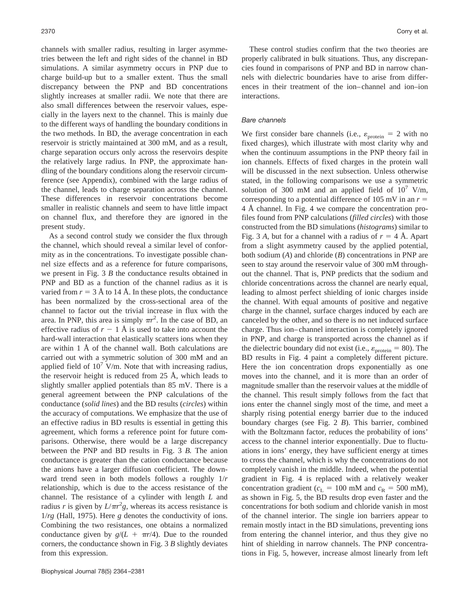channels with smaller radius, resulting in larger asymmetries between the left and right sides of the channel in BD simulations. A similar asymmetry occurs in PNP due to charge build-up but to a smaller extent. Thus the small discrepancy between the PNP and BD concentrations slightly increases at smaller radii. We note that there are also small differences between the reservoir values, especially in the layers next to the channel. This is mainly due to the different ways of handling the boundary conditions in the two methods. In BD, the average concentration in each reservoir is strictly maintained at 300 mM, and as a result, charge separation occurs only across the reservoirs despite the relatively large radius. In PNP, the approximate handling of the boundary conditions along the reservoir circumference (see Appendix), combined with the large radius of the channel, leads to charge separation across the channel. These differences in reservoir concentrations become smaller in realistic channels and seem to have little impact on channel flux, and therefore they are ignored in the present study.

As a second control study we consider the flux through the channel, which should reveal a similar level of conformity as in the concentrations. To investigate possible channel size effects and as a reference for future comparisons, we present in Fig. 3 *B* the conductance results obtained in PNP and BD as a function of the channel radius as it is varied from  $r = 3$  Å to 14 Å. In these plots, the conductance has been normalized by the cross-sectional area of the channel to factor out the trivial increase in flux with the area. In PNP, this area is simply  $\pi r^2$ . In the case of BD, an effective radius of  $r - 1$  Å is used to take into account the hard-wall interaction that elastically scatters ions when they are within 1 Å of the channel wall. Both calculations are carried out with a symmetric solution of 300 mM and an applied field of  $10^7$  V/m. Note that with increasing radius, the reservoir height is reduced from 25 Å, which leads to slightly smaller applied potentials than 85 mV. There is a general agreement between the PNP calculations of the conductance (*solid lines*) and the BD results (*circles*) within the accuracy of computations. We emphasize that the use of an effective radius in BD results is essential in getting this agreement, which forms a reference point for future comparisons. Otherwise, there would be a large discrepancy between the PNP and BD results in Fig. 3 *B.* The anion conductance is greater than the cation conductance because the anions have a larger diffusion coefficient. The downward trend seen in both models follows a roughly 1/*r* relationship, which is due to the access resistance of the channel. The resistance of a cylinder with length *L* and radius *r* is given by  $L/\pi r^2 g$ , whereas its access resistance is 1/*rg* (Hall, 1975). Here *g* denotes the conductivity of ions. Combining the two resistances, one obtains a normalized conductance given by  $g/(L + \pi r/4)$ . Due to the rounded corners, the conductance shown in Fig. 3 *B* slightly deviates from this expression.

These control studies confirm that the two theories are properly calibrated in bulk situations. Thus, any discrepancies found in comparisons of PNP and BD in narrow channels with dielectric boundaries have to arise from differences in their treatment of the ion–channel and ion–ion interactions.

### *Bare channels*

We first consider bare channels (i.e.,  $\varepsilon_{\text{protein}} = 2$  with no fixed charges), which illustrate with most clarity why and when the continuum assumptions in the PNP theory fail in ion channels. Effects of fixed charges in the protein wall will be discussed in the next subsection. Unless otherwise stated, in the following comparisons we use a symmetric solution of 300 mM and an applied field of  $10^7$  V/m, corresponding to a potential difference of 105 mV in an  $r =$ 4 Å channel. In Fig. 4 we compare the concentration profiles found from PNP calculations (*filled circles*) with those constructed from the BD simulations (*histograms*) similar to Fig. 3 A, but for a channel with a radius of  $r = 4$  A. Apart from a slight asymmetry caused by the applied potential, both sodium (*A*) and chloride (*B*) concentrations in PNP are seen to stay around the reservoir value of 300 mM throughout the channel. That is, PNP predicts that the sodium and chloride concentrations across the channel are nearly equal, leading to almost perfect shielding of ionic charges inside the channel. With equal amounts of positive and negative charge in the channel, surface charges induced by each are canceled by the other, and so there is no net induced surface charge. Thus ion–channel interaction is completely ignored in PNP, and charge is transported across the channel as if the dielectric boundary did not exist (i.e.,  $\varepsilon_{\text{protein}} = 80$ ). The BD results in Fig. 4 paint a completely different picture. Here the ion concentration drops exponentially as one moves into the channel, and it is more than an order of magnitude smaller than the reservoir values at the middle of the channel. This result simply follows from the fact that ions enter the channel singly most of the time, and meet a sharply rising potential energy barrier due to the induced boundary charges (see Fig. 2 *B*). This barrier, combined with the Boltzmann factor, reduces the probability of ions' access to the channel interior exponentially. Due to fluctuations in ions' energy, they have sufficient energy at times to cross the channel, which is why the concentrations do not completely vanish in the middle. Indeed, when the potential gradient in Fig. 4 is replaced with a relatively weaker concentration gradient ( $c_L$  = 100 mM and  $c_R$  = 500 mM), as shown in Fig. 5, the BD results drop even faster and the concentrations for both sodium and chloride vanish in most of the channel interior. The single ion barriers appear to remain mostly intact in the BD simulations, preventing ions from entering the channel interior, and thus they give no hint of shielding in narrow channels. The PNP concentrations in Fig. 5, however, increase almost linearly from left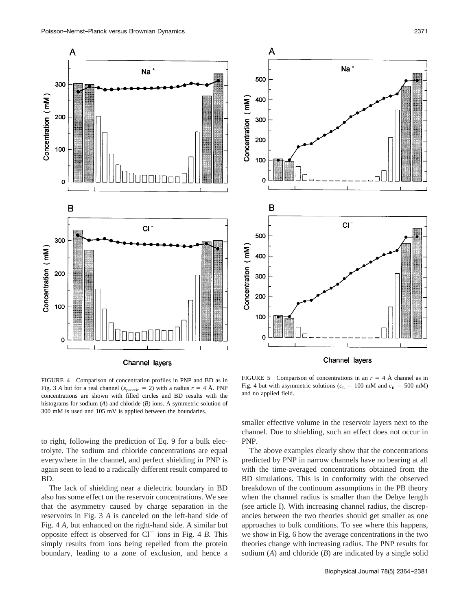



FIGURE 4 Comparison of concentration profiles in PNP and BD as in Fig. 3 *A* but for a real channel ( $\varepsilon$ <sub>protein</sub> = 2) with a radius  $r = 4$  Å. PNP concentrations are shown with filled circles and BD results with the histograms for sodium (*A*) and chloride (*B*) ions. A symmetric solution of 300 mM is used and 105 mV is applied between the boundaries.

to right, following the prediction of Eq. 9 for a bulk electrolyte. The sodium and chloride concentrations are equal everywhere in the channel, and perfect shielding in PNP is again seen to lead to a radically different result compared to BD.

The lack of shielding near a dielectric boundary in BD also has some effect on the reservoir concentrations. We see that the asymmetry caused by charge separation in the reservoirs in Fig. 3 *A* is canceled on the left-hand side of Fig. 4 *A*, but enhanced on the right-hand side. A similar but opposite effect is observed for  $Cl^-$  ions in Fig. 4 *B*. This simply results from ions being repelled from the protein boundary, leading to a zone of exclusion, and hence a

FIGURE 5 Comparison of concentrations in an  $r = 4$  Å channel as in Fig. 4 but with asymmetric solutions ( $c<sub>L</sub> = 100$  mM and  $c<sub>R</sub> = 500$  mM) and no applied field.

smaller effective volume in the reservoir layers next to the channel. Due to shielding, such an effect does not occur in PNP.

The above examples clearly show that the concentrations predicted by PNP in narrow channels have no bearing at all with the time-averaged concentrations obtained from the BD simulations. This is in conformity with the observed breakdown of the continuum assumptions in the PB theory when the channel radius is smaller than the Debye length (see article I). With increasing channel radius, the discrepancies between the two theories should get smaller as one approaches to bulk conditions. To see where this happens, we show in Fig. 6 how the average concentrations in the two theories change with increasing radius. The PNP results for sodium (*A*) and chloride (*B*) are indicated by a single solid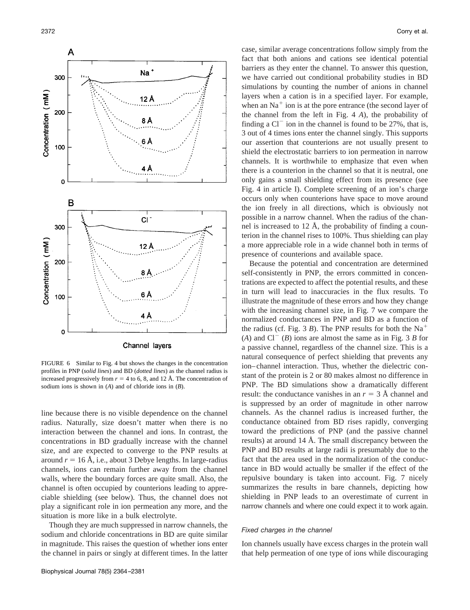

FIGURE 6 Similar to Fig. 4 but shows the changes in the concentration profiles in PNP (*solid lines*) and BD (*dotted lines*) as the channel radius is increased progressively from  $r = 4$  to 6, 8, and 12 Å. The concentration of sodium ions is shown in (*A*) and of chloride ions in (*B*).

line because there is no visible dependence on the channel radius. Naturally, size doesn't matter when there is no interaction between the channel and ions. In contrast, the concentrations in BD gradually increase with the channel size, and are expected to converge to the PNP results at around  $r = 16$  Å, i.e., about 3 Debye lengths. In large-radius channels, ions can remain further away from the channel walls, where the boundary forces are quite small. Also, the channel is often occupied by counterions leading to appreciable shielding (see below). Thus, the channel does not play a significant role in ion permeation any more, and the situation is more like in a bulk electrolyte.

Though they are much suppressed in narrow channels, the sodium and chloride concentrations in BD are quite similar in magnitude. This raises the question of whether ions enter the channel in pairs or singly at different times. In the latter

case, similar average concentrations follow simply from the fact that both anions and cations see identical potential barriers as they enter the channel. To answer this question, we have carried out conditional probability studies in BD simulations by counting the number of anions in channel layers when a cation is in a specified layer. For example, when an  $Na<sup>+</sup>$  ion is at the pore entrance (the second layer of the channel from the left in Fig. 4 *A*), the probability of finding a  $Cl^{-}$  ion in the channel is found to be 27%, that is, 3 out of 4 times ions enter the channel singly. This supports our assertion that counterions are not usually present to shield the electrostatic barriers to ion permeation in narrow channels. It is worthwhile to emphasize that even when there is a counterion in the channel so that it is neutral, one only gains a small shielding effect from its presence (see Fig. 4 in article I). Complete screening of an ion's charge occurs only when counterions have space to move around the ion freely in all directions, which is obviously not possible in a narrow channel. When the radius of the channel is increased to 12 Å, the probability of finding a counterion in the channel rises to 100%. Thus shielding can play a more appreciable role in a wide channel both in terms of presence of counterions and available space.

Because the potential and concentration are determined self-consistently in PNP, the errors committed in concentrations are expected to affect the potential results, and these in turn will lead to inaccuracies in the flux results. To illustrate the magnitude of these errors and how they change with the increasing channel size, in Fig. 7 we compare the normalized conductances in PNP and BD as a function of the radius (cf. Fig. 3 *B*). The PNP results for both the Na<sup>+</sup>  $(A)$  and  $Cl^{-}(B)$  ions are almost the same as in Fig. 3 *B* for a passive channel, regardless of the channel size. This is a natural consequence of perfect shielding that prevents any ion–channel interaction. Thus, whether the dielectric constant of the protein is 2 or 80 makes almost no difference in PNP. The BD simulations show a dramatically different result: the conductance vanishes in an  $r = 3$  Å channel and is suppressed by an order of magnitude in other narrow channels. As the channel radius is increased further, the conductance obtained from BD rises rapidly, converging toward the predictions of PNP (and the passive channel results) at around 14 Å. The small discrepancy between the PNP and BD results at large radii is presumably due to the fact that the area used in the normalization of the conductance in BD would actually be smaller if the effect of the repulsive boundary is taken into account. Fig. 7 nicely summarizes the results in bare channels, depicting how shielding in PNP leads to an overestimate of current in narrow channels and where one could expect it to work again.

#### *Fixed charges in the channel*

Ion channels usually have excess charges in the protein wall that help permeation of one type of ions while discouraging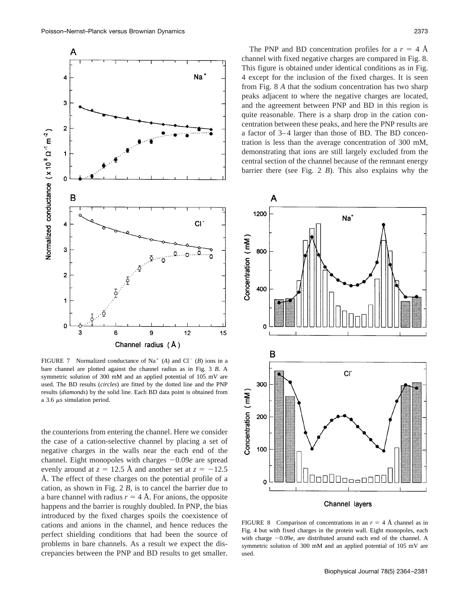

FIGURE 7 Normalized conductance of Na<sup>+</sup> (A) and Cl<sup>-</sup> (B) ions in a bare channel are plotted against the channel radius as in Fig. 3 *B.* A symmetric solution of 300 mM and an applied potential of 105 mV are used. The BD results (*circles*) are fitted by the dotted line and the PNP results (*diamonds*) by the solid line. Each BD data point is obtained from a 3.6  $\mu$ s simulation period.

the counterions from entering the channel. Here we consider the case of a cation-selective channel by placing a set of negative charges in the walls near the each end of the channel. Eight monopoles with charges  $-0.09e$  are spread evenly around at  $z = 12.5$  Å and another set at  $z = -12.5$ Å. The effect of these charges on the potential profile of a cation, as shown in Fig. 2 *B*, is to cancel the barrier due to a bare channel with radius  $r = 4$  Å. For anions, the opposite happens and the barrier is roughly doubled. In PNP, the bias introduced by the fixed charges spoils the coexistence of cations and anions in the channel, and hence reduces the perfect shielding conditions that had been the source of problems in bare channels. As a result we expect the discrepancies between the PNP and BD results to get smaller.

The PNP and BD concentration profiles for a  $r = 4$  Å channel with fixed negative charges are compared in Fig. 8. This figure is obtained under identical conditions as in Fig. 4 except for the inclusion of the fixed charges. It is seen from Fig. 8 *A* that the sodium concentration has two sharp peaks adjacent to where the negative charges are located, and the agreement between PNP and BD in this region is quite reasonable. There is a sharp drop in the cation concentration between these peaks, and here the PNP results are a factor of 3–4 larger than those of BD. The BD concentration is less than the average concentration of 300 mM, demonstrating that ions are still largely excluded from the central section of the channel because of the remnant energy barrier there (see Fig. 2 *B*). This also explains why the



FIGURE 8 Comparison of concentrations in an  $r = 4$  Å channel as in Fig. 4 but with fixed charges in the protein wall. Eight monopoles, each with charge  $-0.09e$ , are distributed around each end of the channel. A symmetric solution of 300 mM and an applied potential of 105 mV are used.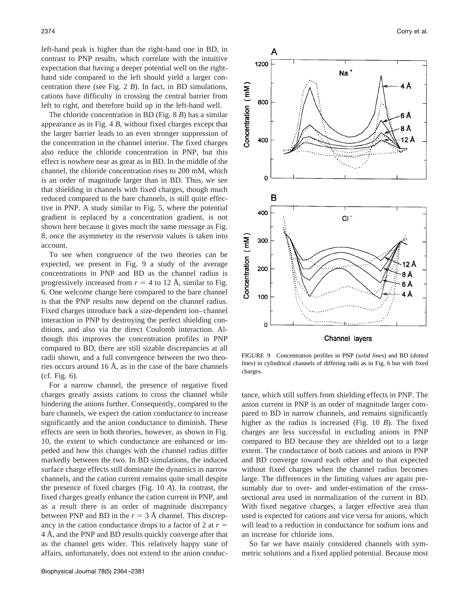left-hand peak is higher than the right-hand one in BD, in contrast to PNP results, which correlate with the intuitive expectation that having a deeper potential well on the righthand side compared to the left should yield a larger concentration there (see Fig. 2 *B*). In fact, in BD simulations, cations have difficulty in crossing the central barrier from left to right, and therefore build up in the left-hand well.

The chloride concentration in BD (Fig. 8 *B*) has a similar appearance as in Fig. 4 *B*, without fixed charges except that the larger barrier leads to an even stronger suppression of the concentration in the channel interior. The fixed charges also reduce the chloride concentration in PNP, but this effect is nowhere near as great as in BD. In the middle of the channel, the chloride concentration rises to 200 mM, which is an order of magnitude larger than in BD. Thus, we see that shielding in channels with fixed charges, though much reduced compared to the bare channels, is still quite effective in PNP. A study similar to Fig. 5, where the potential gradient is replaced by a concentration gradient, is not shown here because it gives much the same message as Fig. 8, once the asymmetry in the reservoir values is taken into account.

To see when congruence of the two theories can be expected, we present in Fig. 9 a study of the average concentrations in PNP and BD as the channel radius is progressively increased from  $r = 4$  to 12 Å, similar to Fig. 6. One welcome change here compared to the bare channel is that the PNP results now depend on the channel radius. Fixed charges introduce back a size-dependent ion–channel interaction in PNP by destroying the perfect shielding conditions, and also via the direct Coulomb interaction. Although this improves the concentration profiles in PNP compared to BD, there are still sizable discrepancies at all radii shown, and a full convergence between the two theories occurs around 16 Å, as in the case of the bare channels (cf. Fig. 6).

For a narrow channel, the presence of negative fixed charges greatly assists cations to cross the channel while hindering the anions further. Consequently, compared to the bare channels, we expect the cation conductance to increase significantly and the anion conductance to diminish. These effects are seen in both theories, however, as shown in Fig. 10, the extent to which conductance are enhanced or impeded and how this changes with the channel radius differ markedly between the two. In BD simulations, the induced surface charge effects still dominate the dynamics in narrow channels, and the cation current remains quite small despite the presence of fixed charges (Fig. 10 *A*). In contrast, the fixed charges greatly enhance the cation current in PNP, and as a result there is an order of magnitude discrepancy between PNP and BD in the  $r = 3$  Å channel. This discrepancy in the cation conductance drops to a factor of 2 at  $r =$ 4 Å, and the PNP and BD results quickly converge after that as the channel gets wider. This relatively happy state of affairs, unfortunately, does not extend to the anion conduc-



FIGURE 9 Concentration profiles in PNP (*solid lines*) and BD (*dotted lines*) in cylindrical channels of differing radii as in Fig. 6 but with fixed charges.

tance, which still suffers from shielding effects in PNP. The anion current in PNP is an order of magnitude larger compared to BD in narrow channels, and remains significantly higher as the radius is increased (Fig. 10 *B*). The fixed charges are less successful in excluding anions in PNP compared to BD because they are shielded out to a large extent. The conductance of both cations and anions in PNP and BD converge toward each other and to that expected without fixed charges when the channel radius becomes large. The differences in the limiting values are again presumably due to over- and under-estimation of the crosssectional area used in normalization of the current in BD. With fixed negative charges, a larger effective area than used is expected for cations and vice versa for anions, which will lead to a reduction in conductance for sodium ions and an increase for chloride ions.

So far we have mainly considered channels with symmetric solutions and a fixed applied potential. Because most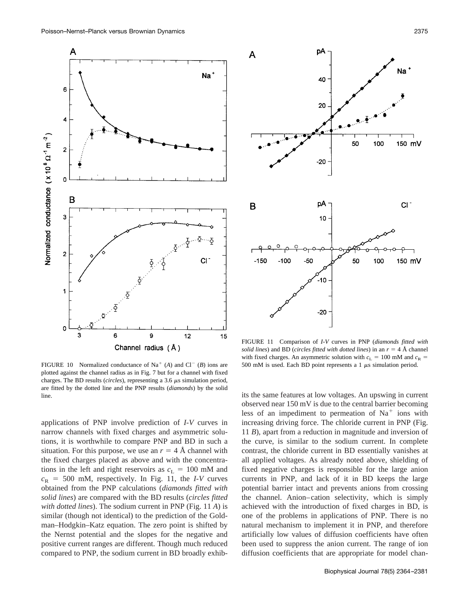

FIGURE 10 Normalized conductance of Na<sup>+</sup> (A) and Cl<sup>-</sup> (B) ions are plotted against the channel radius as in Fig. 7 but for a channel with fixed charges. The BD results (*circles*), representing a 3.6  $\mu$ s simulation period, are fitted by the dotted line and the PNP results (*diamonds*) by the solid line.

applications of PNP involve prediction of *I*-*V* curves in narrow channels with fixed charges and asymmetric solutions, it is worthwhile to compare PNP and BD in such a situation. For this purpose, we use an  $r = 4$  Å channel with the fixed charges placed as above and with the concentrations in the left and right reservoirs as  $c_L = 100$  mM and  $c_R$  = 500 mM, respectively. In Fig. 11, the *I-V* curves obtained from the PNP calculations (*diamonds fitted with solid lines*) are compared with the BD results (*circles fitted with dotted lines*). The sodium current in PNP (Fig. 11 *A*) is similar (though not identical) to the prediction of the Goldman–Hodgkin–Katz equation. The zero point is shifted by the Nernst potential and the slopes for the negative and positive current ranges are different. Though much reduced compared to PNP, the sodium current in BD broadly exhib-



FIGURE 11 Comparison of *I*-*V* curves in PNP (*diamonds fitted with solid lines*) and BD (*circles fitted with dotted lines*) in an  $r = 4$  Å channel with fixed charges. An asymmetric solution with  $c_L = 100$  mM and  $c_R =$ 500 mM is used. Each BD point represents a 1  $\mu$ s simulation period.

its the same features at low voltages. An upswing in current observed near 150 mV is due to the central barrier becoming less of an impediment to permeation of  $Na<sup>+</sup>$  ions with increasing driving force. The chloride current in PNP (Fig. 11 *B*), apart from a reduction in magnitude and inversion of the curve, is similar to the sodium current. In complete contrast, the chloride current in BD essentially vanishes at all applied voltages. As already noted above, shielding of fixed negative charges is responsible for the large anion currents in PNP, and lack of it in BD keeps the large potential barrier intact and prevents anions from crossing the channel. Anion–cation selectivity, which is simply achieved with the introduction of fixed charges in BD, is one of the problems in applications of PNP. There is no natural mechanism to implement it in PNP, and therefore artificially low values of diffusion coefficients have often been used to suppress the anion current. The range of ion diffusion coefficients that are appropriate for model chan-

Biophysical Journal 78(5) 2364–2381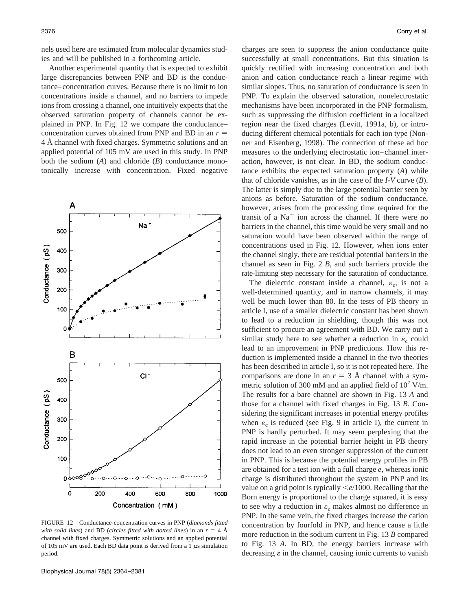nels used here are estimated from molecular dynamics studies and will be published in a forthcoming article.

Another experimental quantity that is expected to exhibit large discrepancies between PNP and BD is the conductance–concentration curves. Because there is no limit to ion concentrations inside a channel, and no barriers to impede ions from crossing a channel, one intuitively expects that the observed saturation property of channels cannot be explained in PNP. In Fig. 12 we compare the conductance– concentration curves obtained from PNP and BD in an  $r =$ 4 Å channel with fixed charges. Symmetric solutions and an applied potential of 105 mV are used in this study. In PNP both the sodium (*A*) and chloride (*B*) conductance monotonically increase with concentration. Fixed negative



FIGURE 12 Conductance-concentration curves in PNP (*diamonds fitted with solid lines*) and BD (*circles fitted with dotted lines*) in an  $r = 4$  Å channel with fixed charges. Symmetric solutions and an applied potential of 105 mV are used. Each BD data point is derived from a 1  $\mu$ s simulation period.

Biophysical Journal 78(5) 2364–2381

charges are seen to suppress the anion conductance quite successfully at small concentrations. But this situation is quickly rectified with increasing concentration and both anion and cation conductance reach a linear regime with similar slopes. Thus, no saturation of conductance is seen in PNP. To explain the observed saturation, nonelectrostatic mechanisms have been incorporated in the PNP formalism, such as suppressing the diffusion coefficient in a localized region near the fixed charges (Levitt, 1991a, b), or introducing different chemical potentials for each ion type (Nonner and Eisenberg, 1998). The connection of these ad hoc measures to the underlying electrostatic ion–channel interaction, however, is not clear. In BD, the sodium conductance exhibits the expected saturation property (*A*) while that of chloride vanishes, as in the case of the *I*-*V* curve (*B*). The latter is simply due to the large potential barrier seen by anions as before. Saturation of the sodium conductance, however, arises from the processing time required for the transit of a  $Na<sup>+</sup>$  ion across the channel. If there were no barriers in the channel, this time would be very small and no saturation would have been observed within the range of concentrations used in Fig. 12. However, when ions enter the channel singly, there are residual potential barriers in the channel as seen in Fig. 2 *B*, and such barriers provide the rate-limiting step necessary for the saturation of conductance.

The dielectric constant inside a channel,  $\varepsilon_c$ , is not a well-determined quantity, and in narrow channels, it may well be much lower than 80. In the tests of PB theory in article I, use of a smaller dielectric constant has been shown to lead to a reduction in shielding, though this was not sufficient to procure an agreement with BD. We carry out a similar study here to see whether a reduction in  $\varepsilon_c$  could lead to an improvement in PNP predictions. How this reduction is implemented inside a channel in the two theories has been described in article I, so it is not repeated here. The comparisons are done in an  $r = 3$  Å channel with a symmetric solution of 300 mM and an applied field of  $10^7$  V/m. The results for a bare channel are shown in Fig. 13 *A* and those for a channel with fixed charges in Fig. 13 *B.* Considering the significant increases in potential energy profiles when  $\varepsilon_c$  is reduced (see Fig. 9 in article I), the current in PNP is hardly perturbed. It may seem perplexing that the rapid increase in the potential barrier height in PB theory does not lead to an even stronger suppression of the current in PNP. This is because the potential energy profiles in PB are obtained for a test ion with a full charge *e*, whereas ionic charge is distributed throughout the system in PNP and its value on a grid point is typically  $\leq e/1000$ . Recalling that the Born energy is proportional to the charge squared, it is easy to see why a reduction in  $\varepsilon_c$  makes almost no difference in PNP. In the same vein, the fixed charges increase the cation concentration by fourfold in PNP, and hence cause a little more reduction in the sodium current in Fig. 13 *B* compared to Fig. 13 *A.* In BD, the energy barriers increase with decreasing  $\varepsilon$  in the channel, causing ionic currents to vanish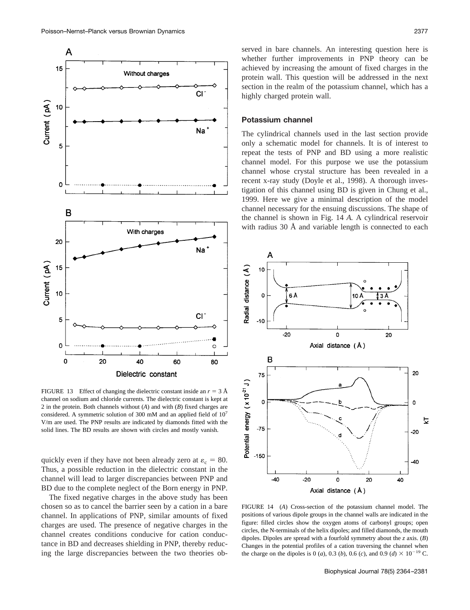

FIGURE 13 Effect of changing the dielectric constant inside an  $r = 3 \text{ Å}$ channel on sodium and chloride currents. The dielectric constant is kept at 2 in the protein. Both channels without (*A*) and with (*B*) fixed charges are considered. A symmetric solution of 300 mM and an applied field of  $10<sup>7</sup>$ V/m are used. The PNP results are indicated by diamonds fitted with the solid lines. The BD results are shown with circles and mostly vanish.

quickly even if they have not been already zero at  $\varepsilon_c = 80$ . Thus, a possible reduction in the dielectric constant in the channel will lead to larger discrepancies between PNP and BD due to the complete neglect of the Born energy in PNP.

The fixed negative charges in the above study has been chosen so as to cancel the barrier seen by a cation in a bare channel. In applications of PNP, similar amounts of fixed charges are used. The presence of negative charges in the channel creates conditions conducive for cation conductance in BD and decreases shielding in PNP, thereby reducing the large discrepancies between the two theories ob-

served in bare channels. An interesting question here is whether further improvements in PNP theory can be achieved by increasing the amount of fixed charges in the protein wall. This question will be addressed in the next section in the realm of the potassium channel, which has a highly charged protein wall.

# **Potassium channel**

The cylindrical channels used in the last section provide only a schematic model for channels. It is of interest to repeat the tests of PNP and BD using a more realistic channel model. For this purpose we use the potassium channel whose crystal structure has been revealed in a recent x-ray study (Doyle et al., 1998). A thorough investigation of this channel using BD is given in Chung et al., 1999. Here we give a minimal description of the model channel necessary for the ensuing discussions. The shape of the channel is shown in Fig. 14 *A.* A cylindrical reservoir with radius 30 Å and variable length is connected to each



FIGURE 14 (*A*) Cross-section of the potassium channel model. The positions of various dipole groups in the channel walls are indicated in the figure: filled circles show the oxygen atoms of carbonyl groups; open circles, the N-terminals of the helix dipoles; and filled diamonds, the mouth dipoles. Dipoles are spread with a fourfold symmetry about the *z* axis. (*B*) Changes in the potential profiles of a cation traversing the channel when the charge on the dipoles is 0 (*a*), 0.3 (*b*), 0.6 (*c*), and 0.9 (*d*)  $\times$  10<sup>-19</sup> C.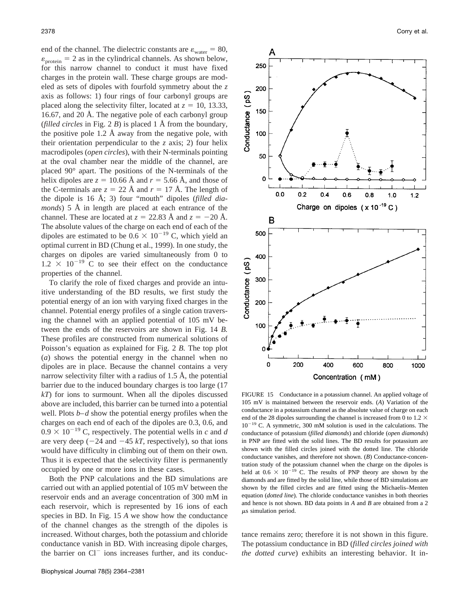end of the channel. The dielectric constants are  $\varepsilon_{\text{water}} = 80$ ,  $\varepsilon_{\text{protein}} = 2$  as in the cylindrical channels. As shown below, for this narrow channel to conduct it must have fixed charges in the protein wall. These charge groups are modeled as sets of dipoles with fourfold symmetry about the *z* axis as follows: 1) four rings of four carbonyl groups are placed along the selectivity filter, located at  $z = 10$ , 13.33, 16.67, and 20 Å. The negative pole of each carbonyl group (*filled circles* in Fig. 2 *B*) is placed 1 Å from the boundary, the positive pole 1.2 Å away from the negative pole, with their orientation perpendicular to the *z* axis; 2) four helix macrodipoles (*open circles*), with their N-terminals pointing at the oval chamber near the middle of the channel, are placed 90° apart. The positions of the N-terminals of the helix dipoles are  $z = 10.66$  Å and  $r = 5.66$  Å, and those of the C-terminals are  $z = 22 \text{ Å}$  and  $r = 17 \text{ Å}$ . The length of the dipole is 16 Å; 3) four "mouth" dipoles (*filled diamonds*) 5 Å in length are placed at each entrance of the channel. These are located at  $z = 22.83$  Å and  $z = -20$  Å. The absolute values of the charge on each end of each of the dipoles are estimated to be  $0.6 \times 10^{-19}$  C, which yield an optimal current in BD (Chung et al., 1999). In one study, the charges on dipoles are varied simultaneously from 0 to  $1.2 \times 10^{-19}$  C to see their effect on the conductance properties of the channel.

To clarify the role of fixed charges and provide an intuitive understanding of the BD results, we first study the potential energy of an ion with varying fixed charges in the channel. Potential energy profiles of a single cation traversing the channel with an applied potential of 105 mV between the ends of the reservoirs are shown in Fig. 14 *B.* These profiles are constructed from numerical solutions of Poisson's equation as explained for Fig. 2 *B.* The top plot (*a*) shows the potential energy in the channel when no dipoles are in place. Because the channel contains a very narrow selectivity filter with a radius of 1.5 Å, the potential barrier due to the induced boundary charges is too large (17 *kT*) for ions to surmount. When all the dipoles discussed above are included, this barrier can be turned into a potential well. Plots *b–d* show the potential energy profiles when the charges on each end of each of the dipoles are 0.3, 0.6, and  $0.9 \times 10^{-19}$  C, respectively. The potential wells in *c* and *d* are very deep  $(-24 \text{ and } -45 \text{ kT})$ , respectively), so that ions would have difficulty in climbing out of them on their own. Thus it is expected that the selectivity filter is permanently occupied by one or more ions in these cases.

Both the PNP calculations and the BD simulations are carried out with an applied potential of 105 mV between the reservoir ends and an average concentration of 300 mM in each reservoir, which is represented by 16 ions of each species in BD. In Fig. 15 *A* we show how the conductance of the channel changes as the strength of the dipoles is increased. Without charges, both the potassium and chloride conductance vanish in BD. With increasing dipole charges, the barrier on  $Cl^-$  ions increases further, and its conduc-



FIGURE 15 Conductance in a potassium channel. An applied voltage of 105 mV is maintained between the reservoir ends. (*A*) Variation of the conductance in a potassium channel as the absolute value of charge on each end of the 28 dipoles surrounding the channel is increased from 0 to 1.2  $\times$  $10^{-19}$  C. A symmetric, 300 mM solution is used in the calculations. The conductance of potassium (*filled diamonds*) and chloride (*open diamonds*) in PNP are fitted with the solid lines. The BD results for potassium are shown with the filled circles joined with the dotted line. The chloride conductance vanishes, and therefore not shown. (*B*) Conductance-concentration study of the potassium channel when the charge on the dipoles is held at  $0.6 \times 10^{-19}$  C. The results of PNP theory are shown by the diamonds and are fitted by the solid line, while those of BD simulations are shown by the filled circles and are fitted using the Michaelis–Menten equation (*dotted line*). The chloride conductance vanishes in both theories and hence is not shown. BD data points in *A* and *B* are obtained from a 2  $\mu$ s simulation period.

tance remains zero; therefore it is not shown in this figure. The potassium conductance in BD (*filled circles joined with the dotted curve*) exhibits an interesting behavior. It in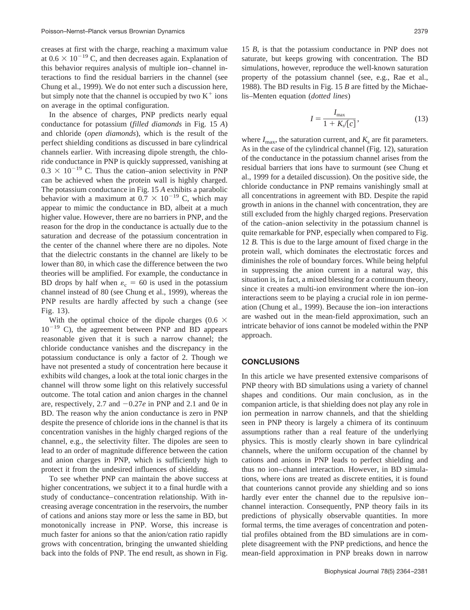creases at first with the charge, reaching a maximum value at  $0.6 \times 10^{-19}$  C, and then decreases again. Explanation of this behavior requires analysis of multiple ion–channel interactions to find the residual barriers in the channel (see Chung et al., 1999). We do not enter such a discussion here, but simply note that the channel is occupied by two  $K^+$  ions on average in the optimal configuration.

In the absence of charges, PNP predicts nearly equal conductance for potassium (*filled diamonds* in Fig. 15 *A*) and chloride (*open diamonds*), which is the result of the perfect shielding conditions as discussed in bare cylindrical channels earlier. With increasing dipole strength, the chloride conductance in PNP is quickly suppressed, vanishing at  $0.3 \times 10^{-19}$  C. Thus the cation–anion selectivity in PNP can be achieved when the protein wall is highly charged. The potassium conductance in Fig. 15 *A* exhibits a parabolic behavior with a maximum at  $0.7 \times 10^{-19}$  C, which may appear to mimic the conductance in BD, albeit at a much higher value. However, there are no barriers in PNP, and the reason for the drop in the conductance is actually due to the saturation and decrease of the potassium concentration in the center of the channel where there are no dipoles. Note that the dielectric constants in the channel are likely to be lower than 80, in which case the difference between the two theories will be amplified. For example, the conductance in BD drops by half when  $\varepsilon_c = 60$  is used in the potassium channel instead of 80 (see Chung et al., 1999), whereas the PNP results are hardly affected by such a change (see Fig. 13).

With the optimal choice of the dipole charges (0.6  $\times$  $10^{-19}$  C), the agreement between PNP and BD appears reasonable given that it is such a narrow channel; the chloride conductance vanishes and the discrepancy in the potassium conductance is only a factor of 2. Though we have not presented a study of concentration here because it exhibits wild changes, a look at the total ionic charges in the channel will throw some light on this relatively successful outcome. The total cation and anion charges in the channel are, respectively, 2.7 and  $-0.27e$  in PNP and 2.1 and 0 $e$  in BD. The reason why the anion conductance is zero in PNP despite the presence of chloride ions in the channel is that its concentration vanishes in the highly charged regions of the channel, e.g., the selectivity filter. The dipoles are seen to lead to an order of magnitude difference between the cation and anion charges in PNP, which is sufficiently high to protect it from the undesired influences of shielding.

To see whether PNP can maintain the above success at higher concentrations, we subject it to a final hurdle with a study of conductance–concentration relationship. With increasing average concentration in the reservoirs, the number of cations and anions stay more or less the same in BD, but monotonically increase in PNP. Worse, this increase is much faster for anions so that the anion/cation ratio rapidly grows with concentration, bringing the unwanted shielding back into the folds of PNP. The end result, as shown in Fig.

15 *B*, is that the potassium conductance in PNP does not saturate, but keeps growing with concentration. The BD simulations, however, reproduce the well-known saturation property of the potassium channel (see, e.g., Rae et al., 1988). The BD results in Fig. 15 *B* are fitted by the Michaelis–Menten equation (*dotted lines*)

$$
I = \frac{I_{\text{max}}}{1 + K_s \left[ c \right]},\tag{13}
$$

where  $I_{\text{max}}$ , the saturation current, and  $K_s$  are fit parameters. As in the case of the cylindrical channel (Fig. 12), saturation of the conductance in the potassium channel arises from the residual barriers that ions have to surmount (see Chung et al., 1999 for a detailed discussion). On the positive side, the chloride conductance in PNP remains vanishingly small at all concentrations in agreement with BD. Despite the rapid growth in anions in the channel with concentration, they are still excluded from the highly charged regions. Preservation of the cation–anion selectivity in the potassium channel is quite remarkable for PNP, especially when compared to Fig. 12 *B.* This is due to the large amount of fixed charge in the protein wall, which dominates the electrostatic forces and diminishes the role of boundary forces. While being helpful in suppressing the anion current in a natural way, this situation is, in fact, a mixed blessing for a continuum theory, since it creates a multi-ion environment where the ion–ion interactions seem to be playing a crucial role in ion permeation (Chung et al., 1999). Because the ion–ion interactions are washed out in the mean-field approximation, such an intricate behavior of ions cannot be modeled within the PNP approach.

# **CONCLUSIONS**

In this article we have presented extensive comparisons of PNP theory with BD simulations using a variety of channel shapes and conditions. Our main conclusion, as in the companion article, is that shielding does not play any role in ion permeation in narrow channels, and that the shielding seen in PNP theory is largely a chimera of its continuum assumptions rather than a real feature of the underlying physics. This is mostly clearly shown in bare cylindrical channels, where the uniform occupation of the channel by cations and anions in PNP leads to perfect shielding and thus no ion–channel interaction. However, in BD simulations, where ions are treated as discrete entities, it is found that counterions cannot provide any shielding and so ions hardly ever enter the channel due to the repulsive ion– channel interaction. Consequently, PNP theory fails in its predictions of physically observable quantities. In more formal terms, the time averages of concentration and potential profiles obtained from the BD simulations are in complete disagreement with the PNP predictions, and hence the mean-field approximation in PNP breaks down in narrow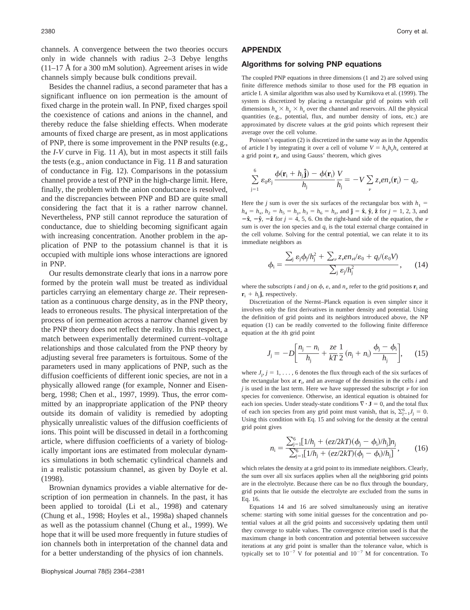channels. A convergence between the two theories occurs only in wide channels with radius 2–3 Debye lengths  $(11-17 \text{ Å}$  for a 300 mM solution). Agreement arises in wide channels simply because bulk conditions prevail.

Besides the channel radius, a second parameter that has a significant influence on ion permeation is the amount of fixed charge in the protein wall. In PNP, fixed charges spoil the coexistence of cations and anions in the channel, and thereby reduce the false shielding effects. When moderate amounts of fixed charge are present, as in most applications of PNP, there is some improvement in the PNP results (e.g., the *I-V* curve in Fig. 11 *A*), but in most aspects it still fails the tests (e.g., anion conductance in Fig. 11 *B* and saturation of conductance in Fig. 12). Comparisons in the potassium channel provide a test of PNP in the high-charge limit. Here, finally, the problem with the anion conductance is resolved, and the discrepancies between PNP and BD are quite small considering the fact that it is a rather narrow channel. Nevertheless, PNP still cannot reproduce the saturation of conductance, due to shielding becoming significant again with increasing concentration. Another problem in the application of PNP to the potassium channel is that it is occupied with multiple ions whose interactions are ignored in PNP.

Our results demonstrate clearly that ions in a narrow pore formed by the protein wall must be treated as individual particles carrying an elementary charge *ze*. Their representation as a continuous charge density, as in the PNP theory, leads to erroneous results. The physical interpretation of the process of ion permeation across a narrow channel given by the PNP theory does not reflect the reality. In this respect, a match between experimentally determined current–voltage relationships and those calculated from the PNP theory by adjusting several free parameters is fortuitous. Some of the parameters used in many applications of PNP, such as the diffusion coefficients of different ionic species, are not in a physically allowed range (for example, Nonner and Eisenberg, 1998; Chen et al., 1997, 1999). Thus, the error committed by an inappropriate application of the PNP theory outside its domain of validity is remedied by adopting physically unrealistic values of the diffusion coefficients of ions. This point will be discussed in detail in a forthcoming article, where diffusion coefficients of a variety of biologically important ions are estimated from molecular dynamics simulations in both schematic cylindrical channels and in a realistic potassium channel, as given by Doyle et al. (1998).

Brownian dynamics provides a viable alternative for description of ion permeation in channels. In the past, it has been applied to toroidal (Li et al., 1998) and catenary (Chung et al., 1998; Hoyles et al., 1998a) shaped channels as well as the potassium channel (Chung et al., 1999). We hope that it will be used more frequently in future studies of ion channels both in interpretation of the channel data and for a better understanding of the physics of ion channels.

# **APPENDIX**

### **Algorithms for solving PNP equations**

The coupled PNP equations in three dimensions (1 and 2) are solved using finite difference methods similar to those used for the PB equation in article I. A similar algorithm was also used by Kurnikova et al. (1999). The system is discretized by placing a rectangular grid of points with cell dimensions  $h_x \times h_y \times h_z$  over the channel and reservoirs. All the physical quantities (e.g., potential, flux, and number density of ions, etc.) are approximated by discrete values at the grid points which represent their average over the cell volume.

Poisson's equation (2) is discretized in the same way as in the Appendix of article I by integrating it over a cell of volume  $V = h_x h_y h_z$  centered at a grid point  $\mathbf{r}_i$ , and using Gauss' theorem, which gives

$$
\sum_{j=1}^{6} \varepsilon_0 \varepsilon_j \frac{\phi(\mathbf{r}_i + h_j \mathbf{\hat{j}}) - \phi(\mathbf{r}_i)}{h_j} \frac{V}{h_j} = -V \sum_{\nu} z_{\nu} e n_{\nu}(\mathbf{r}_i) - q_i.
$$

Here the *j* sum is over the six surfaces of the rectangular box with  $h_1$  =  $h_4 = h_x$ ,  $h_2 = h_5 = h_y$ ,  $h_3 = h_6 = h_z$ , and  $\hat{\mathbf{j}} = \hat{\mathbf{x}}$ ,  $\hat{\mathbf{y}}$ ,  $\hat{\mathbf{z}}$  for  $j = 1, 2, 3$ , and  $-\hat{\mathbf{x}}$ ,  $-\hat{\mathbf{y}}$ ,  $-\hat{\mathbf{z}}$  for  $j = 4, 5, 6$ . On the right-hand side of the equation, the v sum is over the ion species and  $q_i$  is the total external charge contained in the cell volume. Solving for the central potential, we can relate it to its immediate neighbors as

$$
\phi_{\rm i} = \frac{\sum_{\rm j} \varepsilon_{\rm j} \phi_{\rm j}/h_{\rm j}^2 + \sum_{\nu} z_{\nu} e n_{\nu i}/\varepsilon_{\rm 0} + q_{\rm i}/(\varepsilon_{\rm 0} V)}{\sum_{\rm j} \varepsilon_{\rm j}/h_{\rm j}^2},\qquad(14)
$$

where the subscripts *i* and *j* on  $\phi$ ,  $\varepsilon$ , and  $n_v$  refer to the grid positions **r**<sub>i</sub> and  $\mathbf{r}_i + h_j \mathbf{\hat{j}}$ , respectively.

Discretization of the Nernst–Planck equation is even simpler since it involves only the first derivatives in number density and potential. Using the definition of grid points and its neighbors introduced above, the NP equation (1) can be readily converted to the following finite difference equation at the *i*th grid point

$$
J_{\rm j} = -D \bigg[ \frac{n_{\rm j} - n_{\rm i}}{h_{\rm j}} + \frac{ze}{kT} \frac{1}{2} (n_{\rm j} + n_{\rm i}) \frac{\phi_{\rm j} - \phi_{\rm i}}{h_{\rm j}} \bigg], \qquad (15)
$$

where  $J_j$ ,  $j = 1, \ldots, 6$  denotes the flux through each of the six surfaces of the rectangular box at  $\mathbf{r}_i$ , and an average of the densities in the cells *i* and  $j$  is used in the last term. Here we have suppressed the subscript  $\nu$  for ion species for convenience. Otherwise, an identical equation is obtained for each ion species. Under steady-state conditions  $\nabla \cdot \mathbf{J} = 0$ , and the total flux of each ion species from any grid point must vanish, that is,  $\Sigma_{j=1}^6 J_j = 0$ . Using this condition with Eq. 15 and solving for the density at the central grid point gives

$$
n_{\rm i} = \frac{\sum_{j=1}^{6} [1/h_{\rm j} + (ez/2k) (\phi_{\rm j} - \phi_{\rm i})/h_{\rm j}] n_{\rm j}}{\sum_{j=1}^{6} [1/h_{\rm j} + (ez/2k) (\phi_{\rm j} - \phi_{\rm i})/h_{\rm j}]},\qquad(16)
$$

which relates the density at a grid point to its immediate neighbors. Clearly, the sum over all six surfaces applies when all the neighboring grid points are in the electrolyte. Because there can be no flux through the boundary, grid points that lie outside the electrolyte are excluded from the sums in Eq. 16.

Equations 14 and 16 are solved simultaneously using an iterative scheme: starting with some initial guesses for the concentration and potential values at all the grid points and successively updating them until they converge to stable values. The convergence criterion used is that the maximum change in both concentration and potential between successive iterations at any grid point is smaller than the tolerance value, which is typically set to  $10^{-7}$  V for potential and  $10^{-7}$  M for concentration. To